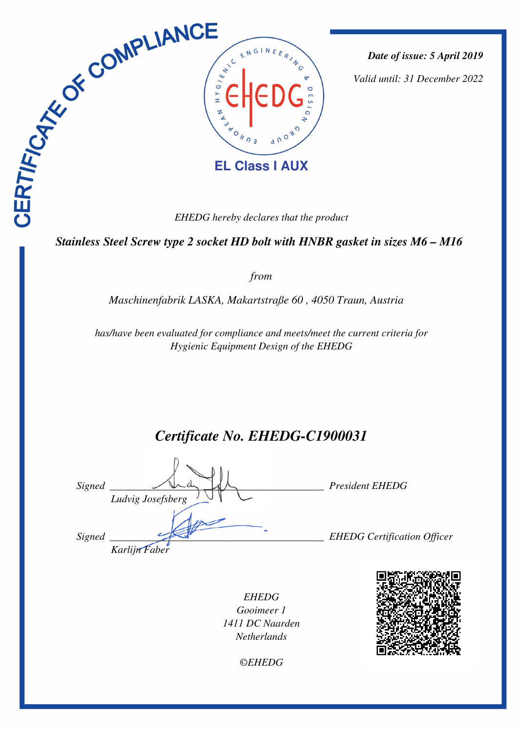

*Date of issue: 5 April 2019*

*Valid until: 31 December 2022*

*EHEDG hereby declares that the product*

 *Stainless Steel Screw type 2 socket HD bolt with HNBR gasket in sizes M6 – M16* 

*from*

*Maschinenfabrik LASKA, Makartstraße 60 , 4050 Traun, Austria* 

*has/have been evaluated for compliance and meets/meet the current criteria for Hygienic Equipment Design of the EHEDG*

*Certificate No. EHEDG-C1900031*

| Signed | Ludvig Josefsberg | <b>President EHEDG</b>             |
|--------|-------------------|------------------------------------|
| Signed | Karlijn Faber     | <b>EHEDG</b> Certification Officer |

*EHEDG Gooimeer 1 1411 DC Naarden Netherlands*



*©EHEDG*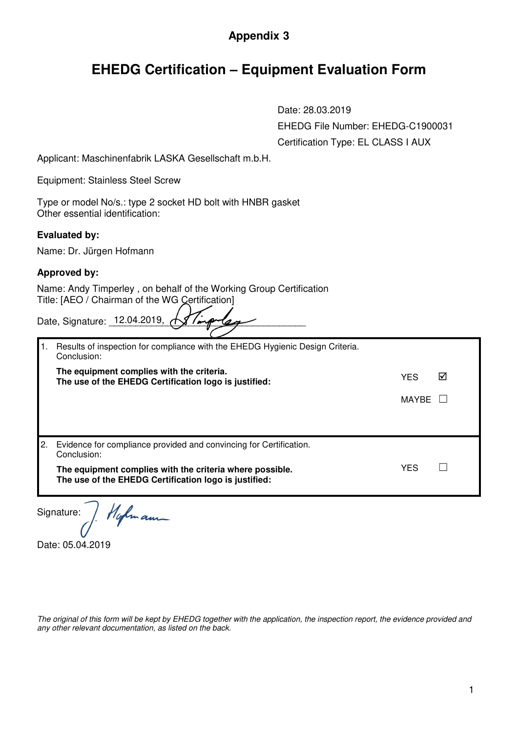## **Appendix 3**

## **EHEDG Certification – Equipment Evaluation Form**

Date: 28.03.2019

EHEDG File Number: EHEDG-C1900031

|    | Certification Type: EL CLASS I AUX                                                                                    |              |   |
|----|-----------------------------------------------------------------------------------------------------------------------|--------------|---|
|    | Applicant: Maschinenfabrik LASKA Gesellschaft m.b.H.                                                                  |              |   |
|    | <b>Equipment: Stainless Steel Screw</b>                                                                               |              |   |
|    | Type or model No/s.: type 2 socket HD bolt with HNBR gasket<br>Other essential identification:                        |              |   |
|    | <b>Evaluated by:</b>                                                                                                  |              |   |
|    | Name: Dr. Jürgen Hofmann                                                                                              |              |   |
|    | <b>Approved by:</b>                                                                                                   |              |   |
|    | Name: Andy Timperley, on behalf of the Working Group Certification<br>Title: [AEO / Chairman of the WG Certification] |              |   |
|    | Date, Signature: 12.04.2019,                                                                                          |              |   |
| 1. | Results of inspection for compliance with the EHEDG Hygienic Design Criteria.<br>Conclusion:                          |              |   |
|    | The equipment complies with the criteria.<br>The use of the EHEDG Certification logo is justified:                    | <b>YES</b>   | ☑ |
|    |                                                                                                                       | <b>MAYBE</b> |   |
|    |                                                                                                                       |              |   |
| 2. | Evidence for compliance provided and convincing for Certification.<br>Conclusion:                                     |              |   |
|    | The equipment complies with the criteria where possible.<br>The use of the EHEDG Certification logo is justified:     | <b>YES</b>   |   |
|    | Hafmann<br>Signature:                                                                                                 |              |   |

Date: 05.04.2019

*The original of this form will be kept by EHEDG together with the application, the inspection report, the evidence provided and any other relevant documentation, as listed on the back.*